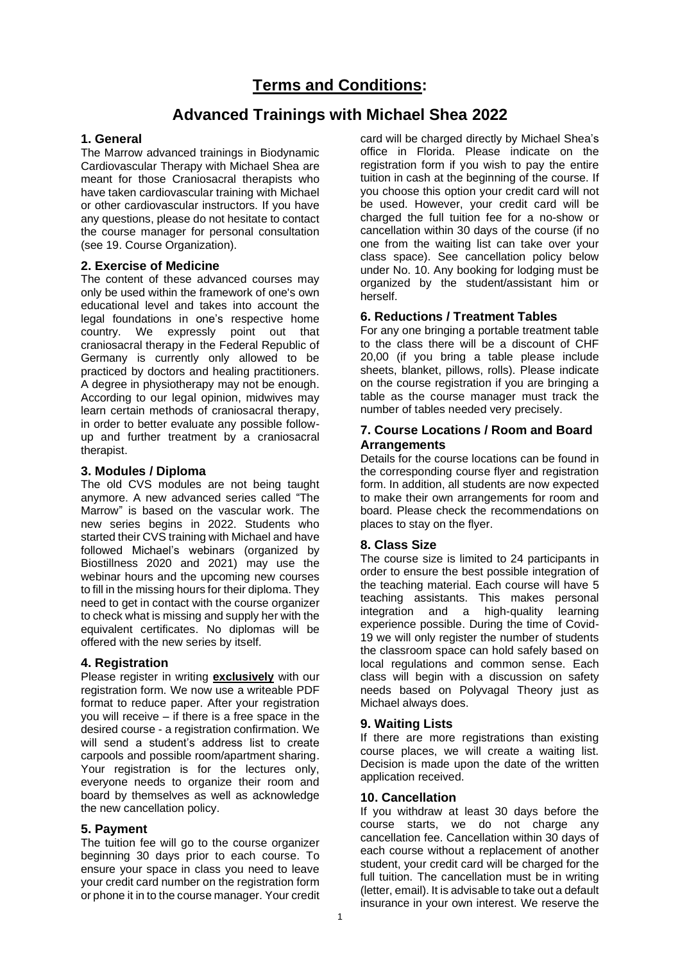# **Advanced Trainings with Michael Shea 2022**

## **1. General**

The Marrow advanced trainings in Biodynamic Cardiovascular Therapy with Michael Shea are meant for those Craniosacral therapists who have taken cardiovascular training with Michael or other cardiovascular instructors. If you have any questions, please do not hesitate to contact the course manager for personal consultation (see 19. Course Organization).

## **2. Exercise of Medicine**

The content of these advanced courses may only be used within the framework of one's own educational level and takes into account the legal foundations in one's respective home country. We expressly point out that craniosacral therapy in the Federal Republic of Germany is currently only allowed to be practiced by doctors and healing practitioners. A degree in physiotherapy may not be enough. According to our legal opinion, midwives may learn certain methods of craniosacral therapy, in order to better evaluate any possible followup and further treatment by a craniosacral therapist.

## **3. Modules / Diploma**

The old CVS modules are not being taught anymore. A new advanced series called "The Marrow" is based on the vascular work. The new series begins in 2022. Students who started their CVS training with Michael and have followed Michael's webinars (organized by Biostillness 2020 and 2021) may use the webinar hours and the upcoming new courses to fill in the missing hours for their diploma. They need to get in contact with the course organizer to check what is missing and supply her with the equivalent certificates. No diplomas will be offered with the new series by itself.

# **4. Registration**

Please register in writing **exclusively** with our registration form. We now use a writeable PDF format to reduce paper. After your registration you will receive – if there is a free space in the desired course - a registration confirmation. We will send a student's address list to create carpools and possible room/apartment sharing. Your registration is for the lectures only, everyone needs to organize their room and board by themselves as well as acknowledge the new cancellation policy.

# **5. Payment**

The tuition fee will go to the course organizer beginning 30 days prior to each course. To ensure your space in class you need to leave your credit card number on the registration form or phone it in to the course manager. Your credit

card will be charged directly by Michael Shea's office in Florida. Please indicate on the registration form if you wish to pay the entire tuition in cash at the beginning of the course. If you choose this option your credit card will not be used. However, your credit card will be charged the full tuition fee for a no-show or cancellation within 30 days of the course (if no one from the waiting list can take over your class space). See cancellation policy below under No. 10. Any booking for lodging must be organized by the student/assistant him or herself.

## **6. Reductions / Treatment Tables**

For any one bringing a portable treatment table to the class there will be a discount of CHF 20,00 (if you bring a table please include sheets, blanket, pillows, rolls). Please indicate on the course registration if you are bringing a table as the course manager must track the number of tables needed very precisely.

## **7. Course Locations / Room and Board Arrangements**

Details for the course locations can be found in the corresponding course flyer and registration form. In addition, all students are now expected to make their own arrangements for room and board. Please check the recommendations on places to stay on the flyer.

# **8. Class Size**

The course size is limited to 24 participants in order to ensure the best possible integration of the teaching material. Each course will have 5 teaching assistants. This makes personal integration and a high-quality learning experience possible. During the time of Covid-19 we will only register the number of students the classroom space can hold safely based on local regulations and common sense. Each class will begin with a discussion on safety needs based on Polyvagal Theory just as Michael always does.

#### **9. Waiting Lists**

If there are more registrations than existing course places, we will create a waiting list. Decision is made upon the date of the written application received.

#### **10. Cancellation**

If you withdraw at least 30 days before the course starts, we do not charge any cancellation fee. Cancellation within 30 days of each course without a replacement of another student, your credit card will be charged for the full tuition. The cancellation must be in writing (letter, email). It is advisable to take out a default insurance in your own interest. We reserve the